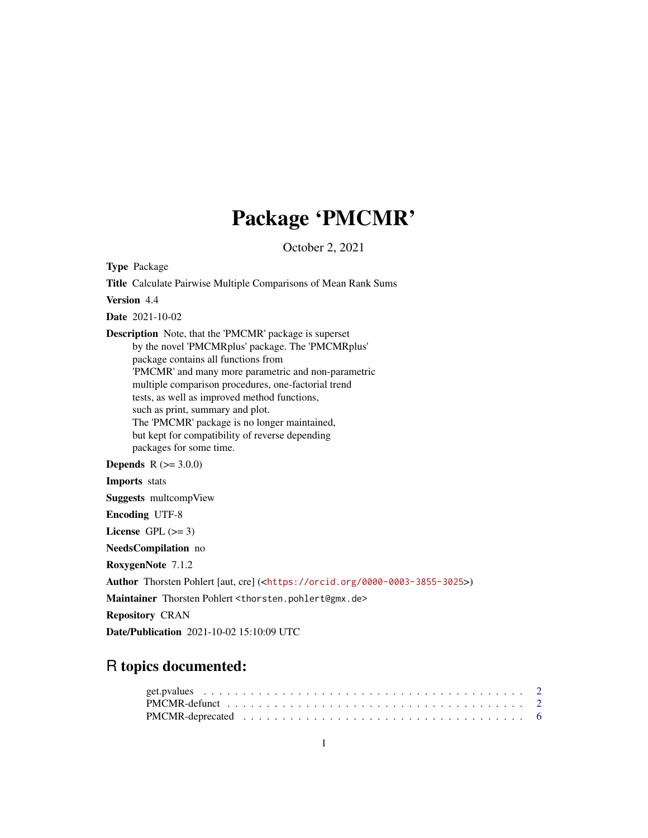# Package 'PMCMR'

October 2, 2021

<span id="page-0-0"></span>Type Package Title Calculate Pairwise Multiple Comparisons of Mean Rank Sums Version 4.4 Date 2021-10-02 Description Note, that the 'PMCMR' package is superset by the novel 'PMCMRplus' package. The 'PMCMRplus' package contains all functions from 'PMCMR' and many more parametric and non-parametric multiple comparison procedures, one-factorial trend tests, as well as improved method functions, such as print, summary and plot. The 'PMCMR' package is no longer maintained, but kept for compatibility of reverse depending packages for some time. **Depends** R  $(>= 3.0.0)$ Imports stats Suggests multcompView Encoding UTF-8 License GPL  $(>= 3)$ NeedsCompilation no RoxygenNote 7.1.2 Author Thorsten Pohlert [aut, cre] (<<https://orcid.org/0000-0003-3855-3025>>) Maintainer Thorsten Pohlert <thorsten.pohlert@gmx.de> Repository CRAN Date/Publication 2021-10-02 15:10:09 UTC

# R topics documented: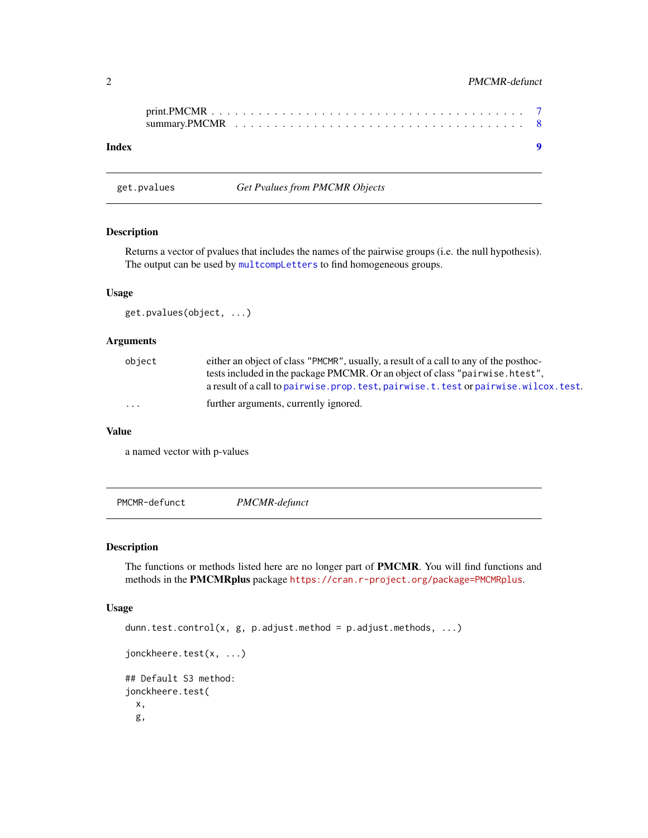# <span id="page-1-0"></span>2 **PMCMR-defunct**

| Index |  |  |  |  |  |  |  |  |  |  |  |  |  |  |  |  |  |
|-------|--|--|--|--|--|--|--|--|--|--|--|--|--|--|--|--|--|

# Description

Returns a vector of pvalues that includes the names of the pairwise groups (i.e. the null hypothesis). The output can be used by [multcompLetters](#page-0-0) to find homogeneous groups.

#### Usage

get.pvalues(object, ...)

get.pvalues *Get Pvalues from PMCMR Objects*

#### Arguments

| object   | either an object of class "PMCMR", usually, a result of a call to any of the posthoc-<br>tests included in the package PMCMR. Or an object of class "pairwise. htest",<br>a result of a call to pairwise, prop. test, pairwise, t, test or pairwise, wilcox, test. |
|----------|--------------------------------------------------------------------------------------------------------------------------------------------------------------------------------------------------------------------------------------------------------------------|
| $\cdots$ | further arguments, currently ignored.                                                                                                                                                                                                                              |

# Value

a named vector with p-values

PMCMR-defunct *PMCMR-defunct*

#### Description

The functions or methods listed here are no longer part of PMCMR. You will find functions and methods in the PMCMRplus package <https://cran.r-project.org/package=PMCMRplus>.

# Usage

```
dunn.test.control(x, g, p.adjust.method = p.adjust.methods, ...)
jonckheere.test(x, ...)
## Default S3 method:
jonckheere.test(
  x,
  g,
```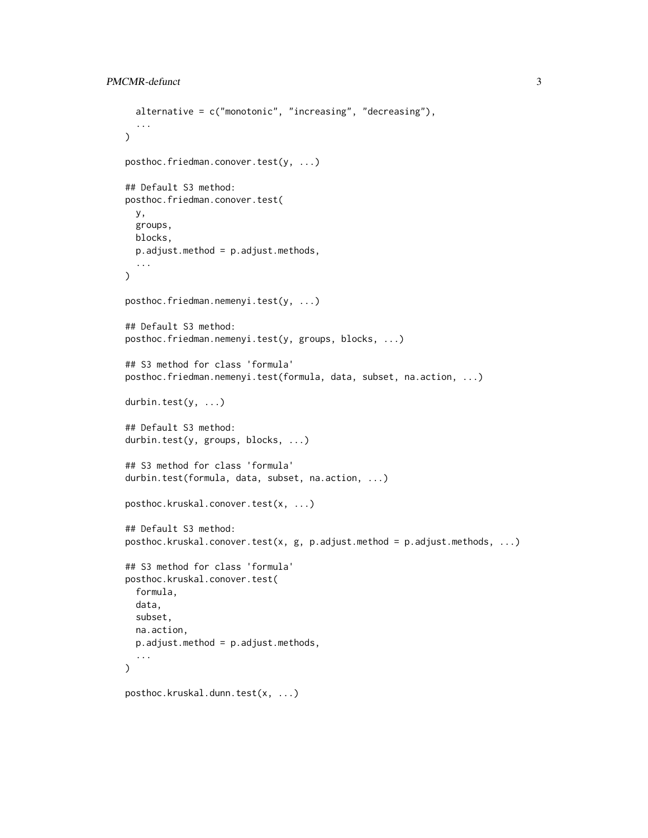```
alternative = c("monotonic", "increasing", "decreasing"),
  ...
\lambdaposthoc.friedman.conover.test(y, ...)
## Default S3 method:
posthoc.friedman.conover.test(
 y,
 groups,
 blocks,
  p.adjust.method = p.adjust.methods,
  ...
)
posthoc.friedman.nemenyi.test(y, ...)
## Default S3 method:
posthoc.friedman.nemenyi.test(y, groups, blocks, ...)
## S3 method for class 'formula'
posthoc.friedman.nemenyi.test(formula, data, subset, na.action, ...)
durbin.test(y, ...)
## Default S3 method:
durbin.test(y, groups, blocks, ...)
## S3 method for class 'formula'
durbin.test(formula, data, subset, na.action, ...)
posthoc.kruskal.conover.test(x, ...)
## Default S3 method:
posthoc.kruskal.comover.test(x, g, p.addjust.method = p.addjust.methods, ...)## S3 method for class 'formula'
posthoc.kruskal.conover.test(
  formula,
  data,
  subset,
  na.action,
  p.adjust.method = p.adjust.methods,
  ...
\mathcal{L}posthoc.kruskal.dunn.test(x, ...)
```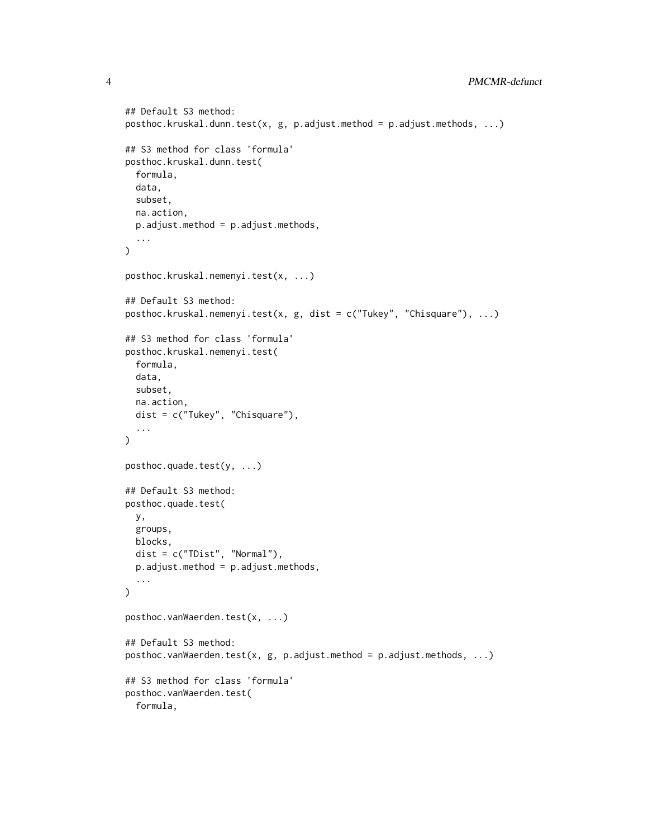```
## Default S3 method:
posthoc.kruskal.dunn.test(x, g, p.adjust.method = p.adjust.methods, ...)
## S3 method for class 'formula'
posthoc.kruskal.dunn.test(
  formula,
 data,
  subset,
 na.action,
 p.adjust.method = p.adjust.methods,
  ...
\mathcal{L}posthoc.kruskal.nemenyi.test(x, ...)
## Default S3 method:
posthoc.kruskal.nemenyi.test(x, g, dist = c("Tukey", "Chisquare"), ...)
## S3 method for class 'formula'
posthoc.kruskal.nemenyi.test(
  formula,
 data,
 subset,
 na.action,
 dist = c("Tukey", "Chisquare"),
  ...
\mathcal{L}posthoc.quade.test(y, ...)
## Default S3 method:
posthoc.quade.test(
 y,
 groups,
 blocks,
 dist = c("TDist", "Normal"),p.adjust.method = p.adjust.methods,
  ...
\lambdaposthoc.vanWaerden.test(x, ...)
## Default S3 method:
posthoc.vanWaerden.test(x, g, p.addjust.method = p.addjust.methods, ...)## S3 method for class 'formula'
posthoc.vanWaerden.test(
  formula,
```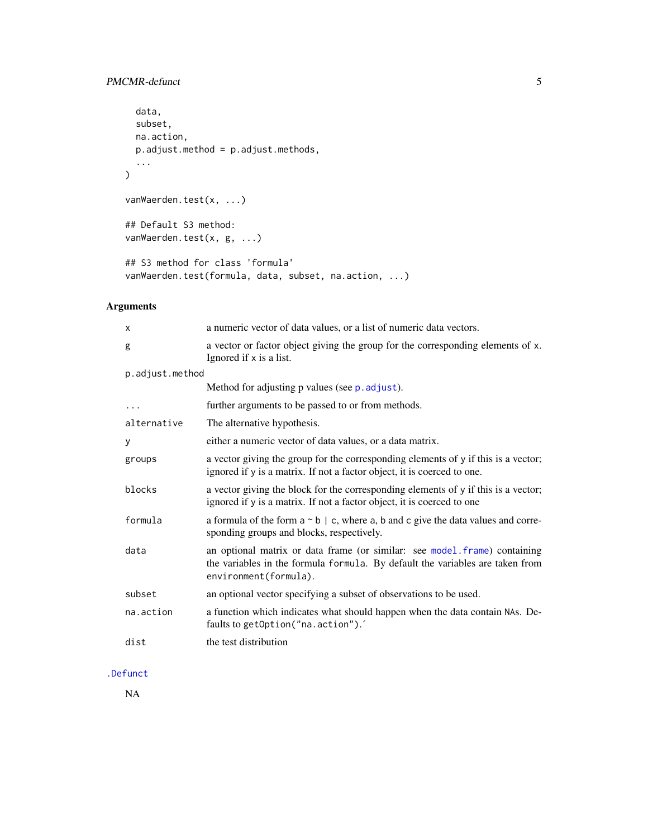# <span id="page-4-0"></span>PMCMR-defunct 5

```
data,
 subset,
 na.action,
 p.adjust.method = p.adjust.methods,
  ...
\mathcal{L}vanWaerden.test(x, ...)
## Default S3 method:
vanWaerden.test(x, g, ...)
## S3 method for class 'formula'
vanWaerden.test(formula, data, subset, na.action, ...)
```
# Arguments

| X               | a numeric vector of data values, or a list of numeric data vectors.                                                                                                                 |
|-----------------|-------------------------------------------------------------------------------------------------------------------------------------------------------------------------------------|
| g               | a vector or factor object giving the group for the corresponding elements of x.<br>Ignored if x is a list.                                                                          |
| p.adjust.method |                                                                                                                                                                                     |
|                 | Method for adjusting p values (see p. adjust).                                                                                                                                      |
| .               | further arguments to be passed to or from methods.                                                                                                                                  |
| alternative     | The alternative hypothesis.                                                                                                                                                         |
| У               | either a numeric vector of data values, or a data matrix.                                                                                                                           |
| groups          | a vector giving the group for the corresponding elements of y if this is a vector;<br>ignored if y is a matrix. If not a factor object, it is coerced to one.                       |
| blocks          | a vector giving the block for the corresponding elements of y if this is a vector;<br>ignored if y is a matrix. If not a factor object, it is coerced to one                        |
| formula         | a formula of the form $a \sim b \mid c$ , where a, b and c give the data values and corre-<br>sponding groups and blocks, respectively.                                             |
| data            | an optional matrix or data frame (or similar: see model frame) containing<br>the variables in the formula formula. By default the variables are taken from<br>environment(formula). |
| subset          | an optional vector specifying a subset of observations to be used.                                                                                                                  |
| na.action       | a function which indicates what should happen when the data contain NAs. De-<br>faults to getOption("na.action").                                                                   |
| dist            | the test distribution                                                                                                                                                               |
|                 |                                                                                                                                                                                     |

# [.Defunct](#page-0-0)

NA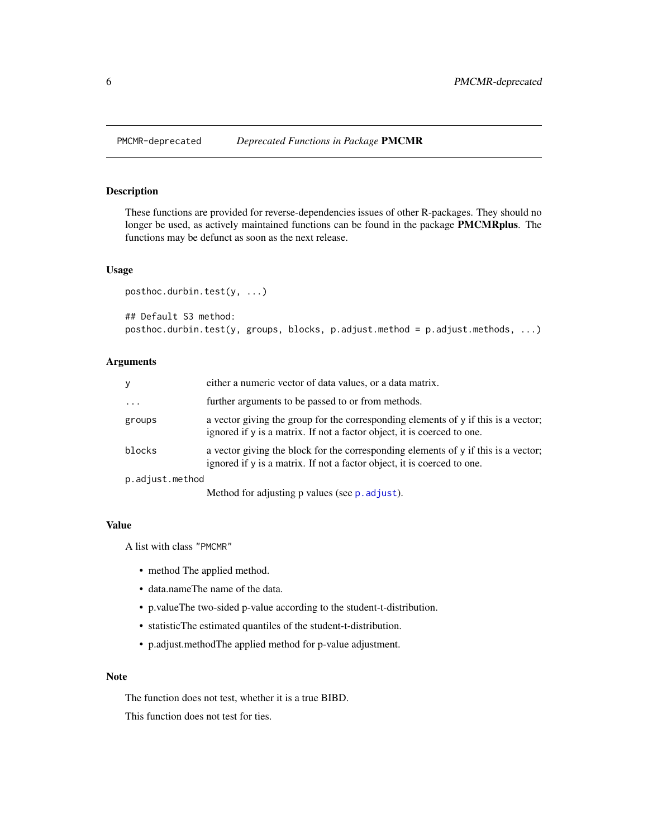<span id="page-5-0"></span>

# Description

These functions are provided for reverse-dependencies issues of other R-packages. They should no longer be used, as actively maintained functions can be found in the package PMCMRplus. The functions may be defunct as soon as the next release.

#### Usage

```
posthoc.durbin.test(y, ...)
## Default S3 method:
posthoc.durbin.test(y, groups, blocks, p.adjust.method = p.adjust.methods, ...)
```
## Arguments

| y               | either a numeric vector of data values, or a data matrix.                                                                                                     |
|-----------------|---------------------------------------------------------------------------------------------------------------------------------------------------------------|
| $\ddotsc$       | further arguments to be passed to or from methods.                                                                                                            |
| groups          | a vector giving the group for the corresponding elements of y if this is a vector;<br>ignored if y is a matrix. If not a factor object, it is coerced to one. |
| blocks          | a vector giving the block for the corresponding elements of y if this is a vector;<br>ignored if y is a matrix. If not a factor object, it is coerced to one. |
| p.adjust.method |                                                                                                                                                               |
|                 | Method for adjusting p values (see p. adjust).                                                                                                                |

#### Value

A list with class "PMCMR"

- method The applied method.
- data.nameThe name of the data.
- p.valueThe two-sided p-value according to the student-t-distribution.
- statisticThe estimated quantiles of the student-t-distribution.
- p.adjust.methodThe applied method for p-value adjustment.

## Note

The function does not test, whether it is a true BIBD.

This function does not test for ties.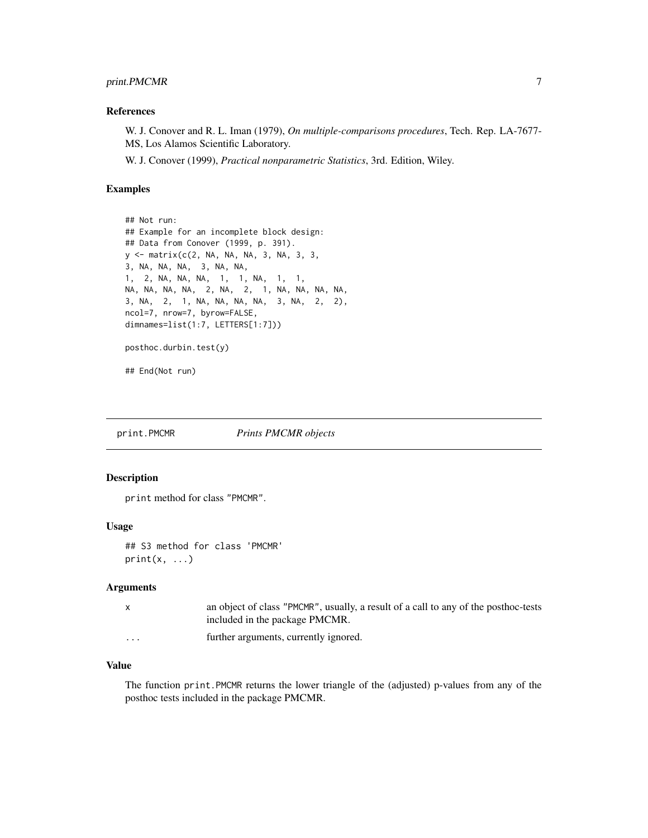# <span id="page-6-0"></span>print.PMCMR 7

#### References

W. J. Conover and R. L. Iman (1979), *On multiple-comparisons procedures*, Tech. Rep. LA-7677- MS, Los Alamos Scientific Laboratory.

W. J. Conover (1999), *Practical nonparametric Statistics*, 3rd. Edition, Wiley.

#### Examples

```
## Not run:
## Example for an incomplete block design:
## Data from Conover (1999, p. 391).
y <- matrix(c(2, NA, NA, NA, 3, NA, 3, 3,
3, NA, NA, NA, 3, NA, NA,
1, 2, NA, NA, NA, 1, 1, NA, 1, 1,
NA, NA, NA, NA, 2, NA, 2, 1, NA, NA, NA, NA,
3, NA, 2, 1, NA, NA, NA, NA, 3, NA, 2, 2),
ncol=7, nrow=7, byrow=FALSE,
dimnames=list(1:7, LETTERS[1:7]))
posthoc.durbin.test(y)
```
## End(Not run)

print.PMCMR *Prints PMCMR objects*

## Description

print method for class "PMCMR".

#### Usage

```
## S3 method for class 'PMCMR'
print(x, \ldots)
```
# Arguments

|                         | an object of class "PMCMR", usually, a result of a call to any of the posthoc-tests<br>included in the package PMCMR. |
|-------------------------|-----------------------------------------------------------------------------------------------------------------------|
| $\cdot$ $\cdot$ $\cdot$ | further arguments, currently ignored.                                                                                 |

# Value

The function print.PMCMR returns the lower triangle of the (adjusted) p-values from any of the posthoc tests included in the package PMCMR.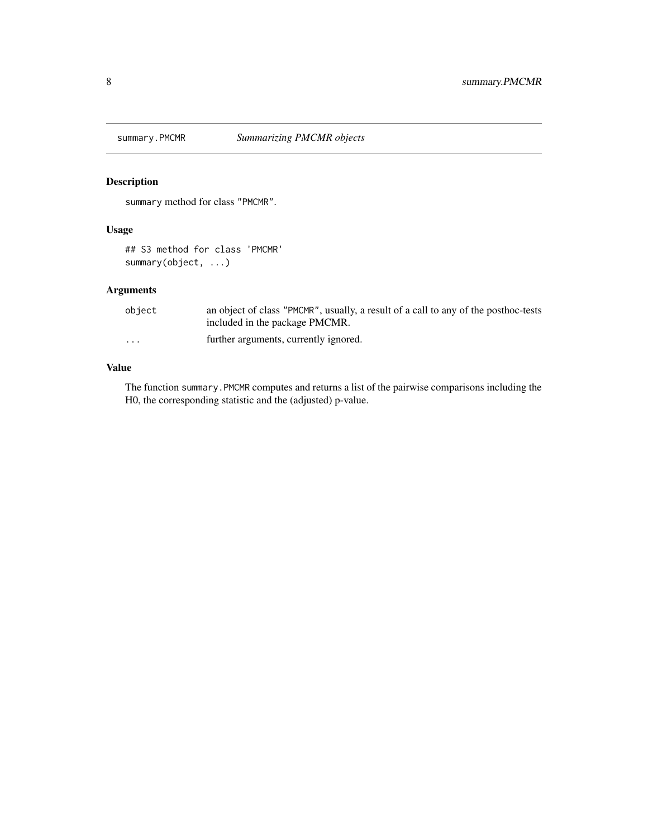<span id="page-7-0"></span>

# Description

summary method for class "PMCMR".

# Usage

## S3 method for class 'PMCMR' summary(object, ...)

# Arguments

| object   | an object of class "PMCMR", usually, a result of a call to any of the posthoc-tests<br>included in the package PMCMR. |
|----------|-----------------------------------------------------------------------------------------------------------------------|
| $\cdots$ | further arguments, currently ignored.                                                                                 |

# Value

The function summary.PMCMR computes and returns a list of the pairwise comparisons including the H0, the corresponding statistic and the (adjusted) p-value.